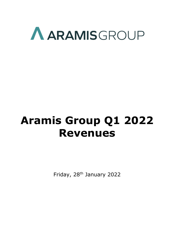

# **Aramis Group Q1 2022 Revenues**

Friday, 28<sup>th</sup> January 2022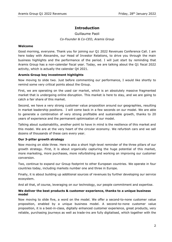# **Introduction**

Guillaume Paoli *Co-Founder & Co-CEO, Aramis Group*

### **Welcome**

Good morning, everyone. Thank you for joining our Q1 2022 Revenues Conference Call. I am here today with Alexandre, our Head of Investor Relations, to drive you through the main business highlights and the performance of the period. I will just start by reminding that Aramis Group has a non-calendar fiscal year. Today, we are talking about the Q1 fiscal 2022 activity, which is actually the calendar Q4 2021.

## **Aramis Group key investment highlights**

Now moving to slide two. Just before commenting our performance, I would like shortly to remind some very critical points about the Group.

First, we are operating on the used car market, which is an absolutely massive fragmented market that is undergoing online disruption. This market is here to stay, and we are going to catch a fair share of this market.

Second, we have a very strong customer value proposition around our geographies, resulting in market leadership positions. I will come back in a few seconds on our model. We are able to generate a combination of very strong profitable and sustainable growth, thanks to 20 years of experience and the permanent optimisation of our model.

Talking about sustainability, another point to have in mind is the resilience of this market and this model. We are at the very heart of the circular economy. We refurbish cars and we sell dozens of thousands of these cars every year.

## **Our 3-pillar growth strategy**

Now moving on slide three. Here is also a short high-level reminder of the three pillars of our growth strategy. First, it is about organically capturing the huge potential of this market, more marketing, more purchases, more refurbishing and working on improving our customer conversion.

Two, continue to expand our Group footprint to other European countries. We operate in four countries today, including markets number one and three in Europe.

Finally, it is about building up additional sources of revenues by further developing our service ecosystem.

And all that, of course, leveraging on our technology, our people commitment and expertise.

## **We deliver the best products & customer experience, thanks to a unique business model**

Now moving to slide five, a word on the model. We offer a second-to-none customer value proposition, enabled by a unique business model. A second-to-none customer value proposition, it is a best-in-class, digitally enhanced customer experience, great products, very reliable, purchasing journeys as well as trade-ins are fully digitalised, which together with the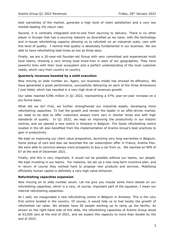best warranties of the market, generate a high level of client satisfaction and a very low market-leading 2% return rate.

Second, it is vertically integrated end-to-end from sourcing to delivery. There is no other player in Europe that has a sourcing network as diversified as we have, with the technology and in-house refurbishing capacity allowing us to refurbish on an industrial scale, cars with this level of quality. I remind that quality is absolutely fundamental in our business. We are able to have refurbishing lead times as low as three days.

Finally, we are a 20-year-old founder-led Group with very committed and experienced multi local teams, showing a very strong local know-how in each of our geographies. They have powerful links with their local ecosystem and a perfect understanding of the local customer needs, which vary from country to country.

#### **Quarterly revenues boosted by a solid execution**

Now moving on slide number six. Again, our business model has showed its efficiency. We have generated a great performance, successfully delivering on each of the three dimensions I just listed, which has resulted in a very high level of revenues growth.

Our sales reached €396 million in Q1 2022, representing a 47% year-on-year increase on a pro forma basis.

What did we do? First, we further strengthened our industrial assets, developing more refurbishing capacities. To fuel the growth and remain the leader in an offer-driven market, we need to be able to offer customers always more cars in shorter times and with high standards of quality. In Q1 2022, we kept on improving the productivity in our historic centres, and we opened a new centre in Antwerp in Belgium. The Goole refurbishing centre located in the UK also benefited from the implementation of Aramis Group's best practices to gain in productivity.

We kept on improving our client value proposition, launching very long warranties in Belgium, home pickup of cars and also we launched the car subscription offer in France, Aramis Flex. We were able to convince always more prospects to buy a car from us. We reached an NPS of 67 at the end of December 2021.

Finally, and this is very important, it would not be possible without our teams, our people. We kept investing in our teams. For instance, we set up a new long-term incentive plan, and in return of course they worked hard to propose new products and services. Mobilising efficiently human capital is definitely a very high value enhancer.

#### **Refurbishing capacities expansion**

Now moving on to slide number seven. Let me give you maybe some more details on our refurbishing capacities, which is a very, of course, important part of the equation, I mean our internal refurbishing capacities.

As I said, we inaugurated a new refurbishing centre in Belgium in Antwerp. This is the very first centre located in the country. Of course, it would help us to fuel locally the growth of refurbished car sales. We already have 50 people working up to ramp up the facility. As shown on the right-hand side of this slide, the refurbishing capacities of Aramis Group stood at 63,000 cars at the end of 2021, and we expect this capacity to more than double by the end of 2023.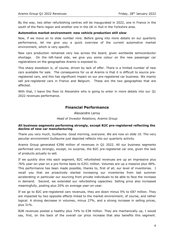By the way, two other refurbishing centres will be inaugurated in 2022, one in France in the south of the Paris region and another one in the UK in Hull in the Yorkshire area.

#### **Automotive market environment: new vehicle production still slow**

Now, if we move on to slide number nine. Before going into more details on our quarterly performance, let me give you a quick overview of the current automotive market environment, which is very specific.

New cars production remained very low across the board, given worldwide semiconductor shortage. On the left-hand side, we give you some colour on the new passenger car registrations on the geographies Aramis is exposed to.

This sharp slowdown is, of course, driven by lack of offer. There is a limited number of new cars available for sale. The consequence for us at Aramis is that it is difficult to source preregistered cars, and this has significant impact on our pre-registered car business. We mainly sell pre-registered cars in France and Belgium. These are the two geographies that are affected.

With that, I leave the floor to Alexandre who is going to enter in more details into our Q1 2022 revenues performance.

# **Financial Performance**

Alexandre Leroy

*Head of Investor Relations, Aramis Group*

#### **All business segments performing strongly, except B2C pre-registered reflecting the decline of new car manufacturing**

Thank you very much, Guillaume. Good morning, everyone. We are now on slide 10. The very peculiar environment Guillaume just depicted reflects into our quarterly activity.

Aramis Group generated €396 million of revenues in Q1 2022. All our business segments performed very strongly, except, no surprise, the B2C pre-registered car one, given the lack of products actually to sell.

If we quickly dive into each segment, B2C refurbished revenues are up an impressive plus 76% year-on-year on a pro forma basis to €251 million. Volumes are up a massive plus 48%. This performance has been made possible, thanks to, first of all, our level of inventories. I recall you that we proactively started increasing our inventories from last summer accelerating in particular our sourcing from private individuals to be able to face the increase in demand. Second, we extended our refurbishing capacities. Selling price also increased meaningfully, posting plus 20% on average year-on-year.

If we go to B2C pre-registered cars revenues, they are down minus 5% to  $\epsilon$ 87 million. They are impacted by two opposite effects linked to the market environment, of course, and rather logical. A strong decrease in volumes, minus 27%, and a strong increase in selling prices, plus 31%.

B2B revenues posted a healthy plus 74% to €38 million. They are mechanically up, I would say, first, on the back of the overall car price increase that also benefits this segment.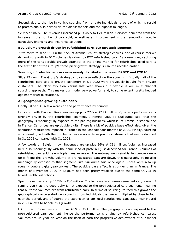Second, due to the rise in vehicle sourcing from private individuals, a part of which is resold to professionals, in particular, the oldest models and the highest mileages.

Services finally. The revenues increased plus 46% to €21 million. Services benefited from the increase in the number of cars sold, as well as an improvement in the penetration rate, in particular, financing and insurance solutions.

#### **B2C volume growth driven by refurbished cars, our strategic segment**

If we move to slide 11. On the back of Aramis Group's strategic choices, and of course market dynamics, growth in B2C volumes is driven by B2C refurbished cars. As a reminder, capturing more of the considerable growth potential of the online market for refurbished used cars is the first pillar of the Group's three-pillar growth strategy Guillaume recalled earlier.

#### **Sourcing of refurbished cars now evenly distributed between B2B2C and C2B2C**

Slide 12 now. The Group's strategic choices also reflect on the sourcing. Virtually half of the refurbished cars sold to private customers in Q1 2022 were previously bought from private customers. The clear evolution versus last year shows our flexible is our multi-channel sourcing approach. This makes our model very powerful, and, to some extent, pretty hedged against market fluctuations.

#### **All geographies growing sustainably**

Finally, slide 13. A few words on the performance by country.

Let's start with France. Revenues are up plus 27% at €174 million. Quarterly performance is strongly driven by the refurbished segment. I remind you, as Guillaume said, that the geography is meaningfully exposed to the pre-reg business, which is, at Aramis, historical one in France. Car prices are up double digits. There is a bit of positive base effect also, given the sanitarian restrictions imposed in France in the last calendar months of 2020. Finally, sourcing was overall good with the number of cars sourced from private customers that nearly doubled in Q1 2022 compared with Q1 2021.

A few words on Belgium now. Revenues are up plus 56% at €51 million. Volumes increased here also meaningfully with the same kind of pattern I just described for France. Volumes of refurbished cars sold nearly tripled year-on-year. The Antwerp new refurbishing centre rampup is filling this growth. Volume of pre-registered cars are down, this geography being also meaningfully exposed to that segment, like Guillaume said once again. Prices were also up roughly double digits year-on-year. The positive base effect is stronger than in France. The month of November 2020 in Belgium has been pretty weakish due to the same COVID-19 linked health restrictions.

Spain, revenues are up 117% to  $\epsilon$ 80 million. The increase in volumes remained very strong. I remind you that the geography is not exposed to the pre-registered cars segment, meaning that all these volumes are from refurbished cars. In terms of sourcing, to feed this growth the geographically accelerated cars sourcing from individuals that were multiplied by close to four over the period, and of course the expansion of our local refurbishing capacities near Madrid in 2021 allows to handle this growth.

UK to finish. Revenues are up plus  $46%$  at €91 million. The geography is not exposed to the pre-registered cars segment; hence the performance is driving by refurbished car sales. Volumes are up year-on-year on the back of both the progressive deployment of our model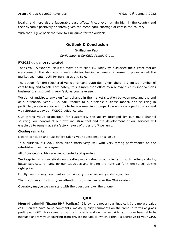locally, and here also a favourable base effect. Prices level remain high in the country and their dynamic positively oriented, given the meaningful shortage of cars in the country.

With that, I give back the floor to Guillaume for the outlook.

# **Outlook & Conclusion**

Guillaume Paoli *Co-Founder & Co-CEO, Aramis Group*

#### **FY2022 guidance reiterated**

Thank you, Alexandre. Now we move on to slide 15. Today we discussed the current market environment, the shortage of new vehicles fuelling a general increase in prices on all the market segments, both for purchases and sales.

The outlook for pre-registered vehicle remains quite dull, given there is a limited number of cars to buy and to sell. Fortunately, this is more than offset by a buoyant refurbished vehicles business that is growing very fast, as you have seen.

We do not anticipate any significant change in the market situation between now and the end of our financial year 2022. Still, thanks to our flexible business model, and sourcing in particular, we do not expect this to have a meaningful impact on our yearly performance and we reiterate today our FY2022 guidance set.

Our strong value proposition for customers, the agility provided by our multi-channel sourcing, our control of our own industrial tool and the development of our services will enable us to remain at satisfactory levels of gross profit per unit.

#### **Closing remarks**

Now to conclude and just before taking your questions, on slide 16.

In a nutshell, our 2022 fiscal year starts very well with very strong performance on the refurbished used car segment.

All of our geographies are well-oriented and growing.

We keep focusing our efforts on creating more value for our clients through better products, better services, ramping up our capacities and finding the right car for them to sell at the right price.

Finally, we are very confident in our capacity to deliver our yearly objectives.

Thank you very much for your attention. Now we can open the Q&A session.

Operator, maybe we can start with the questions over the phone.

# **Q&A**

**Mourad Lahmidi (Exane BNP Paribas):** I know it is not an earnings call. It is more a sales call. Can we have some comments, maybe quality comments on the trend in terms of gross profit per unit? Prices are up on the buy side and on the sell side, you have been able to increase sharply your sourcing from private individual, which I think is accretive to your GPU.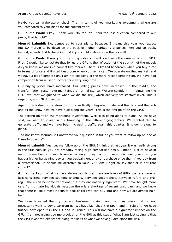Maybe you can elaborate on that? Then in terms of your marketing investment, where are you compared to your plans for the current year?

**Guillaume Paoli:** Okay. Thank you, Mourad. You said the last question compared to our peers, that is right?

**Mourad Lahmidi:** No, compared to your plans. Because, I mean, this year you expect EBITDA margin to be down on the back of higher marketing expenses. Are you on track, behind, ahead? Just to have in mind if you could elaborate on that as well.

**Guillaume Paoli:** Thank you for your questions. I will start with the number one on GPU. First, I would like to restate that for us the GPU is the reflection of the strength of the model. As you know, we are in a competitive market. There is limited headroom when you buy a car in terms of price and limited headroom when you sell a car. We operate on that market, and we have a lot of competition. I am not speaking of the more recent competition. We have had competition from all set of actors for a very long time.

Our buying prices have increased. Our selling prices have increased. In the middle, the transformation costs have maintained a normal stance. We are confident in maintaining the GPU level that we guided to when we did the IPO, which are very satisfactory level. This is regarding your GPU question.

Again, this is due to the strength of the vertically integrated model and the data and the tech and all the know-how we have built along the years. This is the first point on the GPU.

The second point on the marketing investment. Well, it is going along to plans. As we have said, we want to invest in our branding in the different geographies. We wanted also to generate traffic and we have been increasing traffic again this quarter. It is going along to plans.

I do not know, Mourad, if I answered your question in full or you want to follow up on one of these two points?

**Mourad Lahmidi:** Yes. Let me follow up on the GPU. I think that last year it was really strong in the first half, so you are probably facing high comparison basis. I mean, just to have in mind the mechanics of your business. When you buy from a private individual, given that you have a higher bargaining power, you basically get a lower purchase price than if you buy from a professional. It should be accretive to your GPU. Am I right to say that or is not that correct?

**Guillaume Paoli:** What we have always said is that there are levels of GPUs that are more or less consistent between sourcing channels, between geographies, between refurb and prereg. There can be some variations, but they are not very significant. We have bought more cars from private individuals because there is a shortage of recent used cars, and we know that there is like almost indefinite pool of cars we can buy into and now we are almost halfhalf.

We have launched the dry trade-in business, buying cars from customers that do not necessarily want to buy a car from us. We have launched it in Spain and in Belgium. We have further developed it in the UK and in France. This will not have a significant impact on the GPU. I am not giving you more colour on the GPU at this stage. What I am just saying is that the GPU levels we expect are along the lines of what we have guided since the IPO.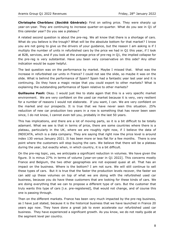**Christophe Cherblanc (Société Générale):** First on selling price. They were sharply up year-on-year. They are continuing to increase quarter-on-quarter. What do you see in Q1 of this calendar year? Do you see a plateau?

A related second question is about the pre-reg. We all know that there is a shortage of cars. What do you believe is the trough? What will be the absolute bottom for that market? I know you are not going to give us the drivers of your guidance, but the reason I am asking is if I multiply the number of units in refurbished cars by the price we had in Q1 this year, if I look at B2B, services, and if you look at the average price of pre-reg in Q1, the implied collapse for the pre-reg is very substantial. Have you been very conservative on this side? Any other indication would be super helpful.

The last question was on the performance by market. Maybe I missed that. What was the increase in refurbished car units in France? I could not see the slide, so maybe it was on the slide. What is behind the performance of Spain? Spain had a fantastic year last year and it is continuing. Do they have a magic recipe that you could export to other markets? What is explaining the outstanding performance of Spain relative to other markets?

**Guillaume Paoli:** Okay. I would just like to state again that this is a very specific market environment. We are very confident on the used car market because it is very, very resilient for a number of reasons I would not elaborate. If you want, I can. We are very confident on the market and our prospects. It is true that we have never seen this situation. 25% reduction of new car production two years in a row is something that has never been seen since, I do not know, I cannot even tell you, probably in the last 50 years.

This has implications, and there are a lot of moving parts, so it is a bit difficult to be totally adamant. What we see is that in terms of price, there are some countries where there is a plateau, particularly in the UK, where we are roughly right now, if I believe the data of INDICATA, which is a data company. They are saying that right now the price level is around index 130 versus January 2021. It has been more or less flat for a few months. There is one point where the customers will stop buying the cars. We believe that there will be a plateau during the year, but exactly when, in which country, it is a bit difficult.

On the pre-reg topic, yes, we anticipate a significant reduction in volumes. We have given the figure. It is minus 27% in terms of volume [year-on-year in Q1 2022]. This concerns mostly France and Belgium, the two other geographies are not exposed quasi at all. That has an impact on the business. Where is the bottom? I am not sure. We will still continue to sell these types of cars. But it is true that the faster the production levels recover, the faster we can add up these volumes on top of what we are doing with the refurbished used car business, because you do have these customers that are looking for these kinds of cars. We are doing everything that we can to propose a different type of cars. But the customer that truly wants this type of cars [i.e. pre-registered], that would not change, and of course this one is passing through.

Then on the different markets. France has been very much impacted by the pre-reg business, as I have just stated, because it is the historical business that we have launched in France 20 years ago now. They have done a great job to even accelerate our refurbished used car business. They have experienced a significant growth. As you know, we do not really guide at the segment level per country.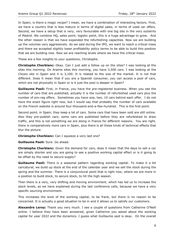In Spain, is there a magic recipe? I mean, we have a combination of interesting factors. First, we have a country that is less mature in terms of digital sales, in terms of used car offers. Second, we have a setup that is very, very favourable with one big site in the very outskirts of Madrid. We combine HQ, sales point, logistic point, this is a huge advantage to grow. And the other reason is that we have expanded the refurbishing capacities. Now we are building up the volumes very aggressively. As we said during the IPO, we want to reach a critical mass and there we accepted slightly lower profitability policy terms to be able to build this position that we are building now. Now we are reaching levels where we have the critical mass.

These are a few insights to your questions, Christophe.

**Christophe Cherblanc:** Okay. Can I just add a follow up on the sites? I was looking at the sites this morning. On Aramis sites this morning, you have 3,500 cars. I was looking at the Clicars site in Spain and it is 3,100. It is related to the size of the market. It is not that different. Does it mean that if you are a Spanish consumer, you can access a pool of cars, which are not physically in Spain or is it just the pool is deeper in Spain?

**Guillaume Paoli:** First, in France, you have the pre-registered business. When you see the number of cars that are published, actually it is the number of refurbished used cars plus the number of pre-reg offers. Sometimes you have one, two, 10 cars behind each offer. I do not have the exact figure right now, but I would say that probably the number of cars available on the French website is around four-thousand-and-a-few-hundred. This is the first point.

Second point, in Spain, they keep a lot of cars. Some cars that have been sold are still online. Also they pre-publish cars; some cars are published before they are refurbished to draw traffic, and this is not something we are doing in France for different reasons. You are right, there is comparatively more cars in Spain, plus there is all these kinds of technical effects that blur the picture.

**Christophe Cherblanc:** Can I squeeze a very last one?

**Guillaume Paoli:** Sure. Go ahead.

**Christophe Cherblanc:** Given the demand for cars, does it mean that the days to sell a car are simply shorter and you are going to see a positive working capital effect or is it going to be offset by the need to secure supply?

**Guillaume Paoli:** There is a seasonal pattern regarding working capital. To make it a bit caricatural, we build up stock at the end of the calendar year and we sell the stock during the spring and the summer. There is a conjunctural point that is right now, where we are more in a position to build stock, to secure stock, to hit the high season.

Then there is a very, very shifting and moving environment, which has led us to increase the stock levels, as we have explained during the last conference calls, because we have a very specific sourcing environment.

This increases the level of the working capital, to be frank, but there is no reason to be concerned. It is actually a good situation to be in and it allows us to satisfy our customers.

**Alexandre Leroy:** Thank you very much. I see a couple of questions from Catherine O'Neill online. I believe they have been answered, given Catherine you asked about the working capital for year 2022 and the dynamics. I guess what Guillaume said is okay. On the overall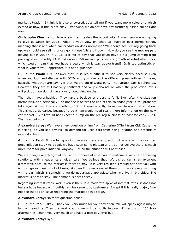market situation, I think it is also answered. Just tell me if you want more colour, to which extend or how, if this is not okay. Otherwise, we do not have any further question online right now.

**Christophe Cherblanc:** Hello again. I am taking the opportunity. I know you are not going to give guidance for 2023. What is your view on what will happen post normalisation, meaning that if and when car production does normalise? We should see pre-reg going back up, we should see selling prices going hopefully a bit down. How do you see the moving part playing out in 2023? In 2023, is it fair to say that you could have a big jump coming from pre-reg sales, possibly €100 million or €150 million, plus secular growth of refurbished cars, which would mean that you have a year, which is way above trend? Is it too optimistic or what is your view? I appreciate it is not a guidance.

**Guillaume Paoli:** I will answer that. It is really difficult to see very clearly because even when you look and discuss with OEMs and you look at the different press articles, I mean, basically what they are saying is that we are out of worst part. The hardest part is behind us. However, they are still not very confident and very elaborate on when the production levels will pick up. We do not have a very good view on that.

Then they have a backlog. They have a backlog of orders to fulfil. Even after the situation normalises, and personally I do not see it before the end of this calendar year, it will probably take again six months or something, I do not know exactly, to recover to a normal situation. This is not a guidance, because to do it, we would need really more information on the new car market. But I would not expect a bump on the pre-reg business at least for early 2023. That is about sure.

**Alexandre Leroy:** We have a new question online from Catherine O'Neill from Citi. Catherine is asking, do you see any risk to demand for used cars from rising inflation and potentially interest rates?

**Guillaume Paoli:** It is a fair question because there is a question of where will the used car price inflation stop? As I said, we have seen some plateau and I do not believe there is much more room for price inflation. Anyway, I think the situation will normalise.

We are doing everything that we can to propose alternatives to customers with new financing solutions, with cheaper cars, older cars. We believe that refurbished car is an excellent alternative because the market is there to stay. It is very resilient. I would not bore you with all the figures I said a lot of times, like two Europeans out of three go to work every morning with a car, which is something we do not always appreciate when we live in big cities. The market is here to stay. The demand is here to stay.

Regarding interest rates, well, even if there is a moderate spike of interest rates, it does not have a huge impact on monthly reimbursement by customers. Except if it is really major, I do not see that as an issue regarding the market at this stage.

**Alexandre Leroy:** No more question online.

**Guillaume Paoli:** Okay. Thank you very much for your attention. We will speak again maybe in the meantime. Then the next step is we will be publishing our H1 results on  $16<sup>th</sup>$  May aftermarket. Thank you very much and have a nice day. Bye-bye.

#### **Alexandre Leroy:** Bye.